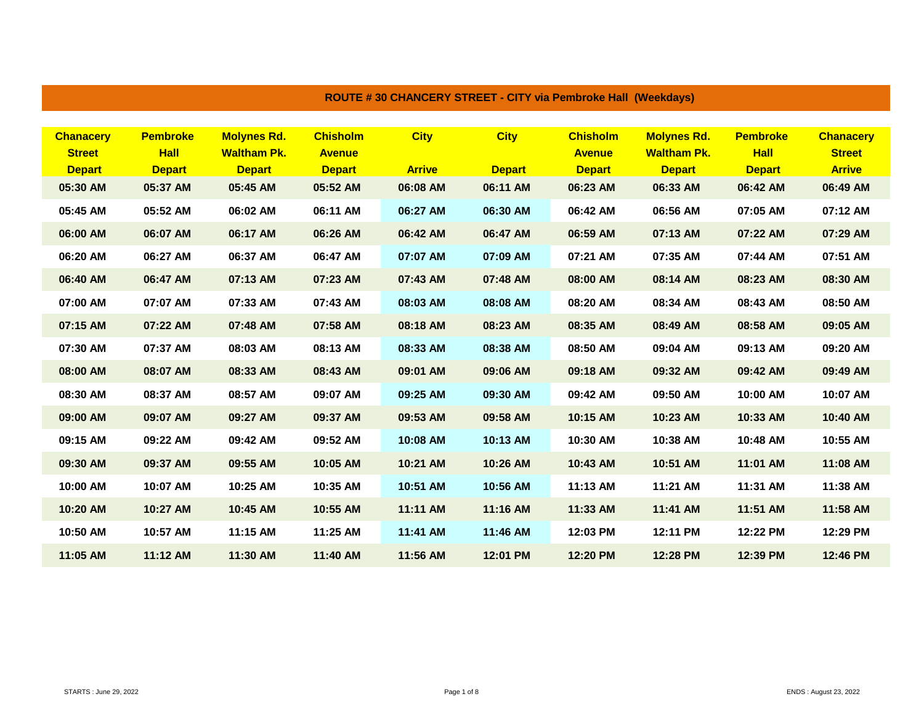| <b>Chanacerv</b> | <b>Pembroke</b> | <b>Molynes Rd.</b> | <b>Chisholm</b> | <b>City</b>   | <b>City</b>   | <b>Chisholm</b> | <b>Molynes Rd.</b> | <b>Pembroke</b> | <b>Chanacery</b> |
|------------------|-----------------|--------------------|-----------------|---------------|---------------|-----------------|--------------------|-----------------|------------------|
| <b>Street</b>    | <b>Hall</b>     | <b>Waltham Pk.</b> | <b>Avenue</b>   |               |               | <b>Avenue</b>   | <b>Waltham Pk.</b> | <b>Hall</b>     | <b>Street</b>    |
| <b>Depart</b>    | <b>Depart</b>   | <b>Depart</b>      | <b>Depart</b>   | <b>Arrive</b> | <b>Depart</b> | <b>Depart</b>   | <b>Depart</b>      | <b>Depart</b>   | <b>Arrive</b>    |
| 05:30 AM         | 05:37 AM        | 05:45 AM           | 05:52 AM        | 06:08 AM      | 06:11 AM      | 06:23 AM        | 06:33 AM           | 06:42 AM        | 06:49 AM         |
| 05:45 AM         | 05:52 AM        | 06:02 AM           | 06:11 AM        | 06:27 AM      | 06:30 AM      | 06:42 AM        | 06:56 AM           | 07:05 AM        | 07:12 AM         |
| 06:00 AM         | 06:07 AM        | 06:17 AM           | 06:26 AM        | 06:42 AM      | 06:47 AM      | 06:59 AM        | 07:13 AM           | 07:22 AM        | 07:29 AM         |
| 06:20 AM         | 06:27 AM        | 06:37 AM           | 06:47 AM        | 07:07 AM      | 07:09 AM      | 07:21 AM        | 07:35 AM           | 07:44 AM        | 07:51 AM         |
| 06:40 AM         | 06:47 AM        | 07:13 AM           | 07:23 AM        | 07:43 AM      | 07:48 AM      | 08:00 AM        | 08:14 AM           | 08:23 AM        | 08:30 AM         |
| 07:00 AM         | 07:07 AM        | 07:33 AM           | 07:43 AM        | 08:03 AM      | 08:08 AM      | 08:20 AM        | 08:34 AM           | 08:43 AM        | 08:50 AM         |
| 07:15 AM         | 07:22 AM        | 07:48 AM           | 07:58 AM        | 08:18 AM      | 08:23 AM      | 08:35 AM        | 08:49 AM           | 08:58 AM        | 09:05 AM         |
| 07:30 AM         | 07:37 AM        | 08:03 AM           | 08:13 AM        | 08:33 AM      | 08:38 AM      | 08:50 AM        | 09:04 AM           | 09:13 AM        | 09:20 AM         |
| 08:00 AM         | 08:07 AM        | 08:33 AM           | 08:43 AM        | 09:01 AM      | 09:06 AM      | 09:18 AM        | 09:32 AM           | 09:42 AM        | 09:49 AM         |
| 08:30 AM         | 08:37 AM        | 08:57 AM           | 09:07 AM        | 09:25 AM      | 09:30 AM      | 09:42 AM        | 09:50 AM           | 10:00 AM        | 10:07 AM         |
| 09:00 AM         | 09:07 AM        | 09:27 AM           | 09:37 AM        | 09:53 AM      | 09:58 AM      | 10:15 AM        | 10:23 AM           | 10:33 AM        | 10:40 AM         |
| 09:15 AM         | 09:22 AM        | 09:42 AM           | 09:52 AM        | 10:08 AM      | 10:13 AM      | 10:30 AM        | 10:38 AM           | 10:48 AM        | 10:55 AM         |
| 09:30 AM         | 09:37 AM        | 09:55 AM           | 10:05 AM        | 10:21 AM      | 10:26 AM      | 10:43 AM        | 10:51 AM           | 11:01 AM        | 11:08 AM         |
| 10:00 AM         | 10:07 AM        | 10:25 AM           | 10:35 AM        | 10:51 AM      | 10:56 AM      | 11:13 AM        | 11:21 AM           | 11:31 AM        | 11:38 AM         |
| 10:20 AM         | 10:27 AM        | 10:45 AM           | 10:55 AM        | 11:11 AM      | 11:16 AM      | 11:33 AM        | 11:41 AM           | 11:51 AM        | 11:58 AM         |
| 10:50 AM         | 10:57 AM        | 11:15 AM           | 11:25 AM        | 11:41 AM      | 11:46 AM      | 12:03 PM        | 12:11 PM           | 12:22 PM        | 12:29 PM         |
| 11:05 AM         | 11:12 AM        | 11:30 AM           | 11:40 AM        | 11:56 AM      | 12:01 PM      | 12:20 PM        | 12:28 PM           | 12:39 PM        | 12:46 PM         |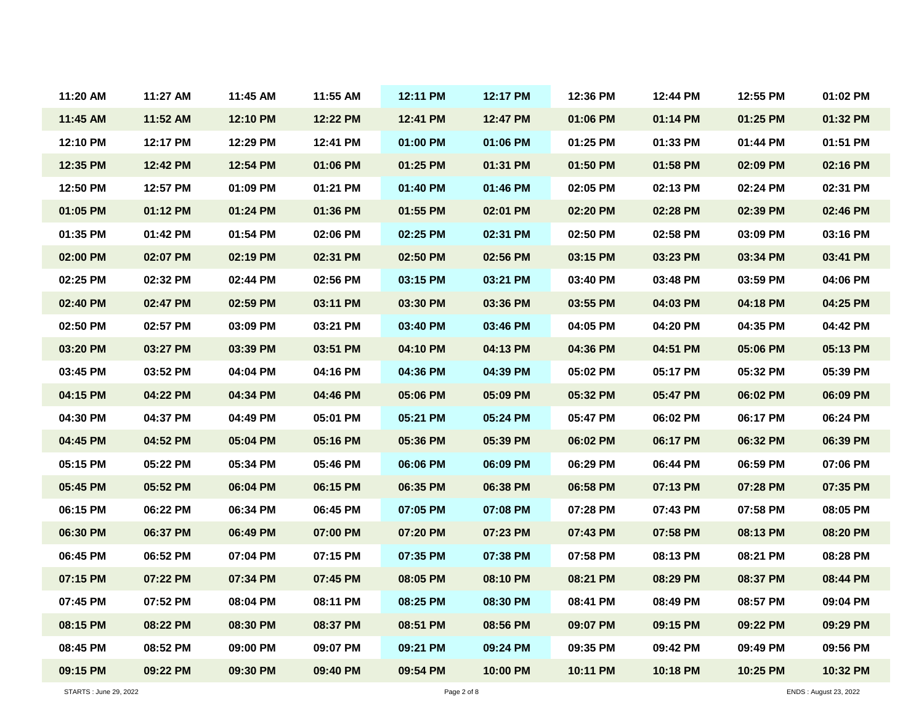| 11:20 AM | 11:27 AM | 11:45 AM | 11:55 AM | 12:11 PM | 12:17 PM | 12:36 PM | 12:44 PM | 12:55 PM | 01:02 PM |
|----------|----------|----------|----------|----------|----------|----------|----------|----------|----------|
| 11:45 AM | 11:52 AM | 12:10 PM | 12:22 PM | 12:41 PM | 12:47 PM | 01:06 PM | 01:14 PM | 01:25 PM | 01:32 PM |
| 12:10 PM | 12:17 PM | 12:29 PM | 12:41 PM | 01:00 PM | 01:06 PM | 01:25 PM | 01:33 PM | 01:44 PM | 01:51 PM |
| 12:35 PM | 12:42 PM | 12:54 PM | 01:06 PM | 01:25 PM | 01:31 PM | 01:50 PM | 01:58 PM | 02:09 PM | 02:16 PM |
| 12:50 PM | 12:57 PM | 01:09 PM | 01:21 PM | 01:40 PM | 01:46 PM | 02:05 PM | 02:13 PM | 02:24 PM | 02:31 PM |
| 01:05 PM | 01:12 PM | 01:24 PM | 01:36 PM | 01:55 PM | 02:01 PM | 02:20 PM | 02:28 PM | 02:39 PM | 02:46 PM |
| 01:35 PM | 01:42 PM | 01:54 PM | 02:06 PM | 02:25 PM | 02:31 PM | 02:50 PM | 02:58 PM | 03:09 PM | 03:16 PM |
| 02:00 PM | 02:07 PM | 02:19 PM | 02:31 PM | 02:50 PM | 02:56 PM | 03:15 PM | 03:23 PM | 03:34 PM | 03:41 PM |
| 02:25 PM | 02:32 PM | 02:44 PM | 02:56 PM | 03:15 PM | 03:21 PM | 03:40 PM | 03:48 PM | 03:59 PM | 04:06 PM |
| 02:40 PM | 02:47 PM | 02:59 PM | 03:11 PM | 03:30 PM | 03:36 PM | 03:55 PM | 04:03 PM | 04:18 PM | 04:25 PM |
| 02:50 PM | 02:57 PM | 03:09 PM | 03:21 PM | 03:40 PM | 03:46 PM | 04:05 PM | 04:20 PM | 04:35 PM | 04:42 PM |
| 03:20 PM | 03:27 PM | 03:39 PM | 03:51 PM | 04:10 PM | 04:13 PM | 04:36 PM | 04:51 PM | 05:06 PM | 05:13 PM |
| 03:45 PM | 03:52 PM | 04:04 PM | 04:16 PM | 04:36 PM | 04:39 PM | 05:02 PM | 05:17 PM | 05:32 PM | 05:39 PM |
| 04:15 PM | 04:22 PM | 04:34 PM | 04:46 PM | 05:06 PM | 05:09 PM | 05:32 PM | 05:47 PM | 06:02 PM | 06:09 PM |
| 04:30 PM | 04:37 PM | 04:49 PM | 05:01 PM | 05:21 PM | 05:24 PM | 05:47 PM | 06:02 PM | 06:17 PM | 06:24 PM |
| 04:45 PM | 04:52 PM | 05:04 PM | 05:16 PM | 05:36 PM | 05:39 PM | 06:02 PM | 06:17 PM | 06:32 PM | 06:39 PM |
| 05:15 PM | 05:22 PM | 05:34 PM | 05:46 PM | 06:06 PM | 06:09 PM | 06:29 PM | 06:44 PM | 06:59 PM | 07:06 PM |
| 05:45 PM | 05:52 PM | 06:04 PM | 06:15 PM | 06:35 PM | 06:38 PM | 06:58 PM | 07:13 PM | 07:28 PM | 07:35 PM |
| 06:15 PM | 06:22 PM | 06:34 PM | 06:45 PM | 07:05 PM | 07:08 PM | 07:28 PM | 07:43 PM | 07:58 PM | 08:05 PM |
| 06:30 PM | 06:37 PM | 06:49 PM | 07:00 PM | 07:20 PM | 07:23 PM | 07:43 PM | 07:58 PM | 08:13 PM | 08:20 PM |
| 06:45 PM | 06:52 PM | 07:04 PM | 07:15 PM | 07:35 PM | 07:38 PM | 07:58 PM | 08:13 PM | 08:21 PM | 08:28 PM |
| 07:15 PM | 07:22 PM | 07:34 PM | 07:45 PM | 08:05 PM | 08:10 PM | 08:21 PM | 08:29 PM | 08:37 PM | 08:44 PM |
| 07:45 PM | 07:52 PM | 08:04 PM | 08:11 PM | 08:25 PM | 08:30 PM | 08:41 PM | 08:49 PM | 08:57 PM | 09:04 PM |
| 08:15 PM | 08:22 PM | 08:30 PM | 08:37 PM | 08:51 PM | 08:56 PM | 09:07 PM | 09:15 PM | 09:22 PM | 09:29 PM |
| 08:45 PM | 08:52 PM | 09:00 PM | 09:07 PM | 09:21 PM | 09:24 PM | 09:35 PM | 09:42 PM | 09:49 PM | 09:56 PM |
| 09:15 PM | 09:22 PM | 09:30 PM | 09:40 PM | 09:54 PM | 10:00 PM | 10:11 PM | 10:18 PM | 10:25 PM | 10:32 PM |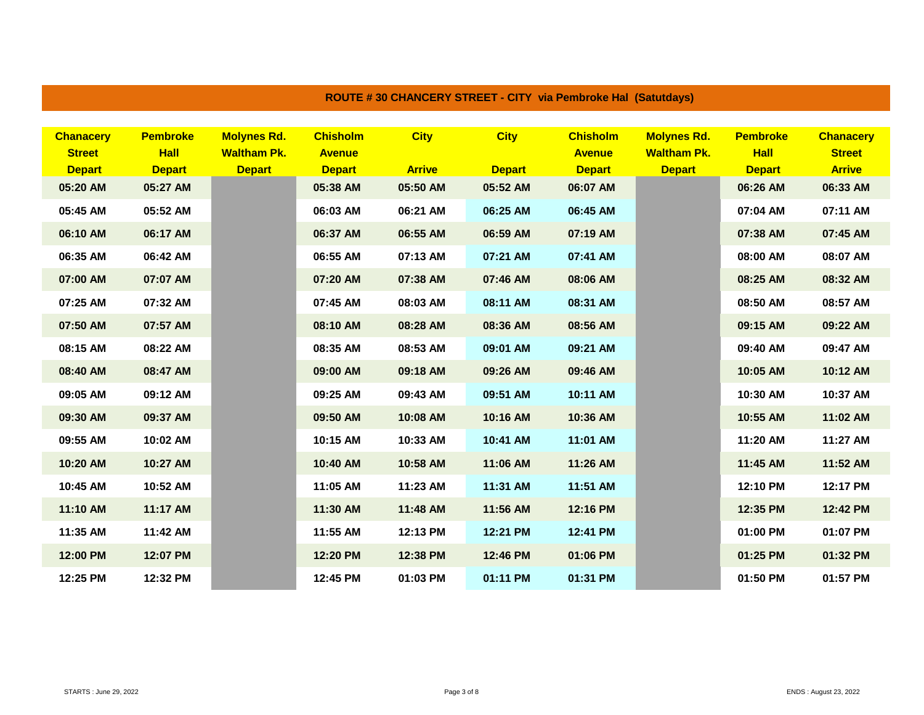| <b>Chanacery</b><br><b>Street</b> | <b>Pembroke</b><br><b>Hall</b> | <b>Molynes Rd.</b><br><b>Waltham Pk.</b> | <b>Chisholm</b><br><b>Avenue</b> | <b>City</b>   | <b>City</b>   | <b>Chisholm</b><br><b>Avenue</b> | <b>Molynes Rd.</b><br><b>Waltham Pk.</b> | <b>Pembroke</b><br><b>Hall</b> | <b>Chanacery</b><br><b>Street</b> |
|-----------------------------------|--------------------------------|------------------------------------------|----------------------------------|---------------|---------------|----------------------------------|------------------------------------------|--------------------------------|-----------------------------------|
| <b>Depart</b>                     | <b>Depart</b>                  | <b>Depart</b>                            | <b>Depart</b>                    | <b>Arrive</b> | <b>Depart</b> | <b>Depart</b>                    | <b>Depart</b>                            | <b>Depart</b>                  | <b>Arrive</b>                     |
| 05:20 AM                          | 05:27 AM                       |                                          | 05:38 AM                         | 05:50 AM      | 05:52 AM      | 06:07 AM                         |                                          | 06:26 AM                       | 06:33 AM                          |
| 05:45 AM                          | 05:52 AM                       |                                          | 06:03 AM                         | 06:21 AM      | 06:25 AM      | 06:45 AM                         |                                          | 07:04 AM                       | 07:11 AM                          |
| 06:10 AM                          | 06:17 AM                       |                                          | 06:37 AM                         | 06:55 AM      | 06:59 AM      | 07:19 AM                         |                                          | 07:38 AM                       | 07:45 AM                          |
| 06:35 AM                          | 06:42 AM                       |                                          | 06:55 AM                         | 07:13 AM      | 07:21 AM      | 07:41 AM                         |                                          | 08:00 AM                       | 08:07 AM                          |
| 07:00 AM                          | 07:07 AM                       |                                          | 07:20 AM                         | 07:38 AM      | 07:46 AM      | 08:06 AM                         |                                          | 08:25 AM                       | 08:32 AM                          |
| 07:25 AM                          | 07:32 AM                       |                                          | 07:45 AM                         | 08:03 AM      | 08:11 AM      | 08:31 AM                         |                                          | 08:50 AM                       | 08:57 AM                          |
| 07:50 AM                          | 07:57 AM                       |                                          | 08:10 AM                         | 08:28 AM      | 08:36 AM      | 08:56 AM                         |                                          | 09:15 AM                       | 09:22 AM                          |
| 08:15 AM                          | 08:22 AM                       |                                          | 08:35 AM                         | 08:53 AM      | 09:01 AM      | 09:21 AM                         |                                          | 09:40 AM                       | 09:47 AM                          |
| 08:40 AM                          | 08:47 AM                       |                                          | 09:00 AM                         | 09:18 AM      | 09:26 AM      | 09:46 AM                         |                                          | 10:05 AM                       | 10:12 AM                          |
| 09:05 AM                          | 09:12 AM                       |                                          | 09:25 AM                         | 09:43 AM      | 09:51 AM      | 10:11 AM                         |                                          | 10:30 AM                       | 10:37 AM                          |
| 09:30 AM                          | 09:37 AM                       |                                          | 09:50 AM                         | 10:08 AM      | 10:16 AM      | 10:36 AM                         |                                          | 10:55 AM                       | 11:02 AM                          |
| 09:55 AM                          | 10:02 AM                       |                                          | 10:15 AM                         | 10:33 AM      | 10:41 AM      | 11:01 AM                         |                                          | 11:20 AM                       | 11:27 AM                          |
| 10:20 AM                          | 10:27 AM                       |                                          | 10:40 AM                         | 10:58 AM      | 11:06 AM      | 11:26 AM                         |                                          | 11:45 AM                       | 11:52 AM                          |
| 10:45 AM                          | 10:52 AM                       |                                          | 11:05 AM                         | 11:23 AM      | 11:31 AM      | 11:51 AM                         |                                          | 12:10 PM                       | 12:17 PM                          |
| 11:10 AM                          | 11:17 AM                       |                                          | 11:30 AM                         | 11:48 AM      | 11:56 AM      | 12:16 PM                         |                                          | 12:35 PM                       | 12:42 PM                          |
| 11:35 AM                          | 11:42 AM                       |                                          | 11:55 AM                         | 12:13 PM      | 12:21 PM      | 12:41 PM                         |                                          | 01:00 PM                       | 01:07 PM                          |
| 12:00 PM                          | 12:07 PM                       |                                          | 12:20 PM                         | 12:38 PM      | 12:46 PM      | 01:06 PM                         |                                          | 01:25 PM                       | 01:32 PM                          |
| 12:25 PM                          | 12:32 PM                       |                                          | 12:45 PM                         | 01:03 PM      | 01:11 PM      | 01:31 PM                         |                                          | 01:50 PM                       | 01:57 PM                          |

## **ROUTE # 30 CHANCERY STREET - CITY via Pembroke Hal (Satutdays)**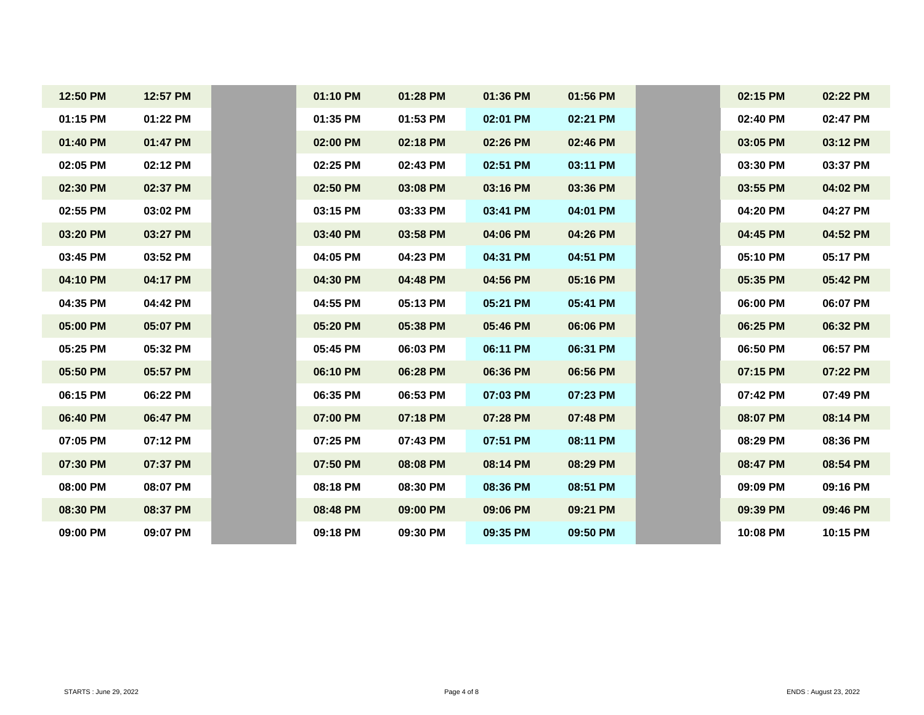| 12:50 PM | 12:57 PM | 01:10 PM | 01:28 PM | 01:36 PM | 01:56 PM |  |
|----------|----------|----------|----------|----------|----------|--|
| 01:15 PM | 01:22 PM | 01:35 PM | 01:53 PM | 02:01 PM | 02:21 PM |  |
| 01:40 PM | 01:47 PM | 02:00 PM | 02:18 PM | 02:26 PM | 02:46 PM |  |
| 02:05 PM | 02:12 PM | 02:25 PM | 02:43 PM | 02:51 PM | 03:11 PM |  |
| 02:30 PM | 02:37 PM | 02:50 PM | 03:08 PM | 03:16 PM | 03:36 PM |  |
| 02:55 PM | 03:02 PM | 03:15 PM | 03:33 PM | 03:41 PM | 04:01 PM |  |
| 03:20 PM | 03:27 PM | 03:40 PM | 03:58 PM | 04:06 PM | 04:26 PM |  |
| 03:45 PM | 03:52 PM | 04:05 PM | 04:23 PM | 04:31 PM | 04:51 PM |  |
| 04:10 PM | 04:17 PM | 04:30 PM | 04:48 PM | 04:56 PM | 05:16 PM |  |
| 04:35 PM | 04:42 PM | 04:55 PM | 05:13 PM | 05:21 PM | 05:41 PM |  |
| 05:00 PM | 05:07 PM | 05:20 PM | 05:38 PM | 05:46 PM | 06:06 PM |  |
| 05:25 PM | 05:32 PM | 05:45 PM | 06:03 PM | 06:11 PM | 06:31 PM |  |
| 05:50 PM | 05:57 PM | 06:10 PM | 06:28 PM | 06:36 PM | 06:56 PM |  |
| 06:15 PM | 06:22 PM | 06:35 PM | 06:53 PM | 07:03 PM | 07:23 PM |  |
| 06:40 PM | 06:47 PM | 07:00 PM | 07:18 PM | 07:28 PM | 07:48 PM |  |
| 07:05 PM | 07:12 PM | 07:25 PM | 07:43 PM | 07:51 PM | 08:11 PM |  |
| 07:30 PM | 07:37 PM | 07:50 PM | 08:08 PM | 08:14 PM | 08:29 PM |  |
| 08:00 PM | 08:07 PM | 08:18 PM | 08:30 PM | 08:36 PM | 08:51 PM |  |
| 08:30 PM | 08:37 PM | 08:48 PM | 09:00 PM | 09:06 PM | 09:21 PM |  |
| 09:00 PM | 09:07 PM | 09:18 PM | 09:30 PM | 09:35 PM | 09:50 PM |  |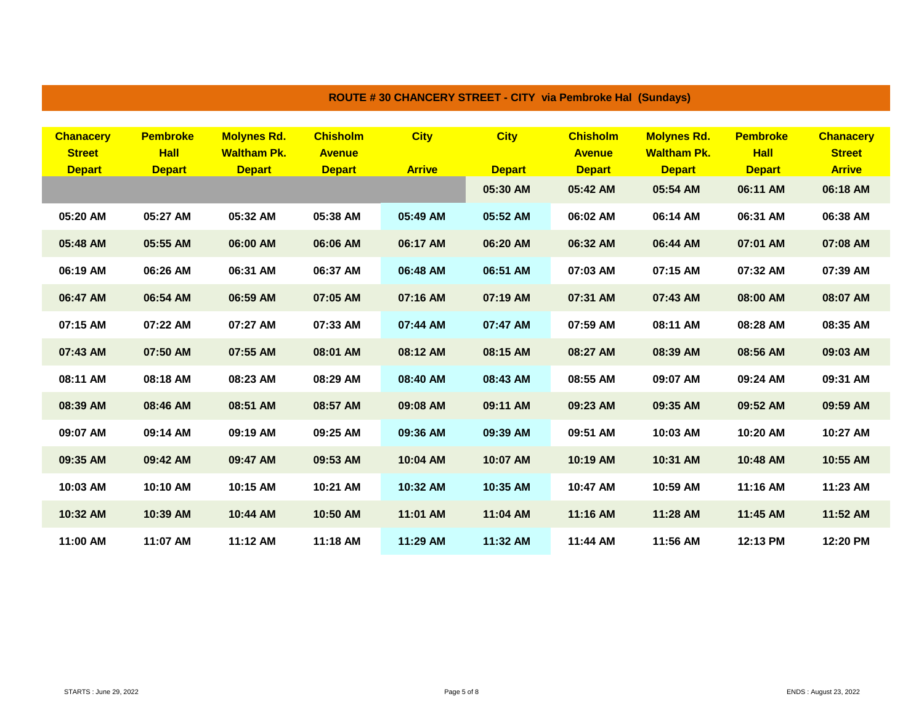| <b>Chanacerv</b> | <b>Pembroke</b> | <b>Molynes Rd.</b> | <b>Chisholm</b> | <b>City</b>   | <b>City</b>   | <b>Chisholm</b> | <b>Molynes Rd.</b> | <b>Pembroke</b> | <b>Chanacerv</b> |
|------------------|-----------------|--------------------|-----------------|---------------|---------------|-----------------|--------------------|-----------------|------------------|
| <b>Street</b>    | <b>Hall</b>     | <b>Waltham Pk.</b> | <b>Avenue</b>   |               |               | <b>Avenue</b>   | <b>Waltham Pk.</b> | <b>Hall</b>     | <b>Street</b>    |
| <b>Depart</b>    | <b>Depart</b>   | <b>Depart</b>      | <b>Depart</b>   | <b>Arrive</b> | <b>Depart</b> | <b>Depart</b>   | <b>Depart</b>      | <b>Depart</b>   | <b>Arrive</b>    |
|                  |                 |                    |                 |               | 05:30 AM      | 05:42 AM        | 05:54 AM           | 06:11 AM        | 06:18 AM         |
| 05:20 AM         | 05:27 AM        | 05:32 AM           | 05:38 AM        | 05:49 AM      | 05:52 AM      | 06:02 AM        | 06:14 AM           | 06:31 AM        | 06:38 AM         |
| 05:48 AM         | 05:55 AM        | 06:00 AM           | 06:06 AM        | 06:17 AM      | 06:20 AM      | 06:32 AM        | 06:44 AM           | 07:01 AM        | 07:08 AM         |
| 06:19 AM         | 06:26 AM        | 06:31 AM           | 06:37 AM        | 06:48 AM      | 06:51 AM      | 07:03 AM        | 07:15 AM           | 07:32 AM        | 07:39 AM         |
| 06:47 AM         | 06:54 AM        | 06:59 AM           | 07:05 AM        | 07:16 AM      | 07:19 AM      | 07:31 AM        | 07:43 AM           | 08:00 AM        | 08:07 AM         |
| 07:15 AM         | 07:22 AM        | 07:27 AM           | 07:33 AM        | 07:44 AM      | 07:47 AM      | 07:59 AM        | 08:11 AM           | 08:28 AM        | 08:35 AM         |
| 07:43 AM         | 07:50 AM        | 07:55 AM           | 08:01 AM        | 08:12 AM      | 08:15 AM      | 08:27 AM        | 08:39 AM           | 08:56 AM        | 09:03 AM         |
| 08:11 AM         | 08:18 AM        | 08:23 AM           | 08:29 AM        | 08:40 AM      | 08:43 AM      | 08:55 AM        | 09:07 AM           | 09:24 AM        | 09:31 AM         |
| 08:39 AM         | 08:46 AM        | 08:51 AM           | 08:57 AM        | 09:08 AM      | 09:11 AM      | 09:23 AM        | 09:35 AM           | 09:52 AM        | 09:59 AM         |
| 09:07 AM         | 09:14 AM        | 09:19 AM           | 09:25 AM        | 09:36 AM      | 09:39 AM      | 09:51 AM        | 10:03 AM           | 10:20 AM        | 10:27 AM         |
| 09:35 AM         | 09:42 AM        | 09:47 AM           | 09:53 AM        | 10:04 AM      | 10:07 AM      | 10:19 AM        | 10:31 AM           | 10:48 AM        | 10:55 AM         |
| 10:03 AM         | 10:10 AM        | 10:15 AM           | 10:21 AM        | 10:32 AM      | 10:35 AM      | 10:47 AM        | 10:59 AM           | 11:16 AM        | 11:23 AM         |
| 10:32 AM         | 10:39 AM        | 10:44 AM           | 10:50 AM        | 11:01 AM      | 11:04 AM      | 11:16 AM        | 11:28 AM           | 11:45 AM        | 11:52 AM         |
| 11:00 AM         | 11:07 AM        | 11:12 AM           | 11:18 AM        | 11:29 AM      | 11:32 AM      | 11:44 AM        | 11:56 AM           | 12:13 PM        | 12:20 PM         |

## **ROUTE # 30 CHANCERY STREET - CITY via Pembroke Hal (Sundays)**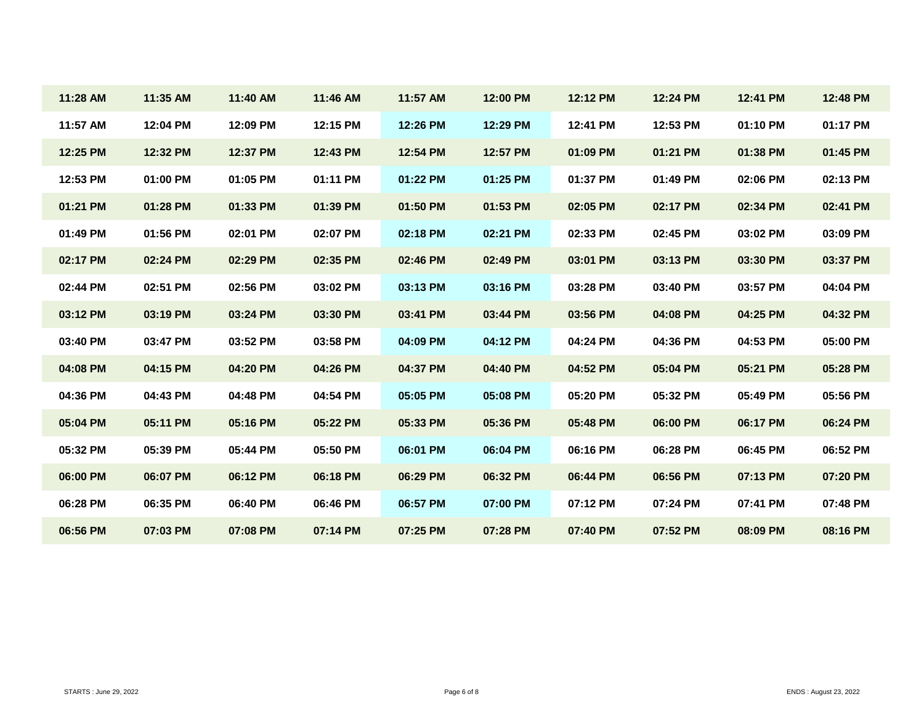| 11:28 AM | 11:35 AM | 11:40 AM | 11:46 AM | 11:57 AM | 12:00 PM | 12:12 PM | 12:24 PM | 12:41 PM | 12:48 PM |
|----------|----------|----------|----------|----------|----------|----------|----------|----------|----------|
| 11:57 AM | 12:04 PM | 12:09 PM | 12:15 PM | 12:26 PM | 12:29 PM | 12:41 PM | 12:53 PM | 01:10 PM | 01:17 PM |
| 12:25 PM | 12:32 PM | 12:37 PM | 12:43 PM | 12:54 PM | 12:57 PM | 01:09 PM | 01:21 PM | 01:38 PM | 01:45 PM |
| 12:53 PM | 01:00 PM | 01:05 PM | 01:11 PM | 01:22 PM | 01:25 PM | 01:37 PM | 01:49 PM | 02:06 PM | 02:13 PM |
| 01:21 PM | 01:28 PM | 01:33 PM | 01:39 PM | 01:50 PM | 01:53 PM | 02:05 PM | 02:17 PM | 02:34 PM | 02:41 PM |
| 01:49 PM | 01:56 PM | 02:01 PM | 02:07 PM | 02:18 PM | 02:21 PM | 02:33 PM | 02:45 PM | 03:02 PM | 03:09 PM |
| 02:17 PM | 02:24 PM | 02:29 PM | 02:35 PM | 02:46 PM | 02:49 PM | 03:01 PM | 03:13 PM | 03:30 PM | 03:37 PM |
| 02:44 PM | 02:51 PM | 02:56 PM | 03:02 PM | 03:13 PM | 03:16 PM | 03:28 PM | 03:40 PM | 03:57 PM | 04:04 PM |
| 03:12 PM | 03:19 PM | 03:24 PM | 03:30 PM | 03:41 PM | 03:44 PM | 03:56 PM | 04:08 PM | 04:25 PM | 04:32 PM |
| 03:40 PM | 03:47 PM | 03:52 PM | 03:58 PM | 04:09 PM | 04:12 PM | 04:24 PM | 04:36 PM | 04:53 PM | 05:00 PM |
| 04:08 PM | 04:15 PM | 04:20 PM | 04:26 PM | 04:37 PM | 04:40 PM | 04:52 PM | 05:04 PM | 05:21 PM | 05:28 PM |
| 04:36 PM | 04:43 PM | 04:48 PM | 04:54 PM | 05:05 PM | 05:08 PM | 05:20 PM | 05:32 PM | 05:49 PM | 05:56 PM |
| 05:04 PM | 05:11 PM | 05:16 PM | 05:22 PM | 05:33 PM | 05:36 PM | 05:48 PM | 06:00 PM | 06:17 PM | 06:24 PM |
| 05:32 PM | 05:39 PM | 05:44 PM | 05:50 PM | 06:01 PM | 06:04 PM | 06:16 PM | 06:28 PM | 06:45 PM | 06:52 PM |
| 06:00 PM | 06:07 PM | 06:12 PM | 06:18 PM | 06:29 PM | 06:32 PM | 06:44 PM | 06:56 PM | 07:13 PM | 07:20 PM |
| 06:28 PM | 06:35 PM | 06:40 PM | 06:46 PM | 06:57 PM | 07:00 PM | 07:12 PM | 07:24 PM | 07:41 PM | 07:48 PM |
| 06:56 PM | 07:03 PM | 07:08 PM | 07:14 PM | 07:25 PM | 07:28 PM | 07:40 PM | 07:52 PM | 08:09 PM | 08:16 PM |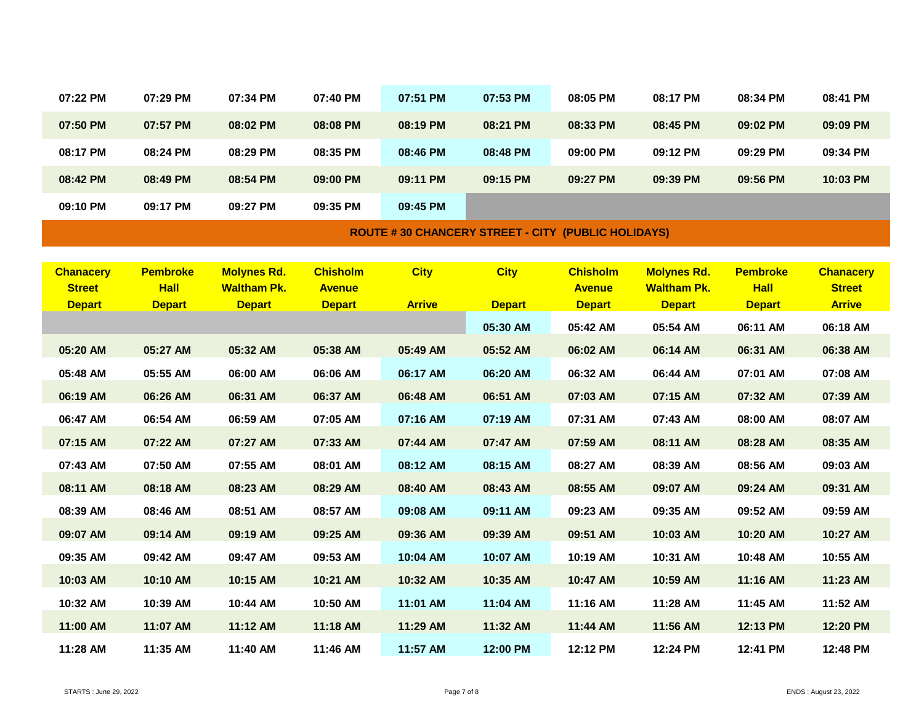| 07:22 PM                       | 07:29 PM                     | 07:34 PM                            | 07:40 PM                       | 07:51 PM      | 07:53 PM                                                  | 08:05 PM                       | 08:17 PM                            | 08:34 PM                     | 08:41 PM                       |
|--------------------------------|------------------------------|-------------------------------------|--------------------------------|---------------|-----------------------------------------------------------|--------------------------------|-------------------------------------|------------------------------|--------------------------------|
| 07:50 PM                       | 07:57 PM                     | 08:02 PM                            | 08:08 PM                       | 08:19 PM      | 08:21 PM                                                  | 08:33 PM                       | 08:45 PM                            | 09:02 PM                     | 09:09 PM                       |
| 08:17 PM                       | 08:24 PM                     | 08:29 PM                            | 08:35 PM                       | 08:46 PM      | 08:48 PM                                                  | 09:00 PM                       | 09:12 PM                            | 09:29 PM                     | 09:34 PM                       |
| 08:42 PM                       | 08:49 PM                     | 08:54 PM                            | 09:00 PM                       | 09:11 PM      | 09:15 PM                                                  | 09:27 PM                       | 09:39 PM                            | 09:56 PM                     | 10:03 PM                       |
| 09:10 PM                       | 09:17 PM                     | 09:27 PM                            | 09:35 PM                       | 09:45 PM      |                                                           |                                |                                     |                              |                                |
|                                |                              |                                     |                                |               | <b>ROUTE #30 CHANCERY STREET - CITY (PUBLIC HOLIDAYS)</b> |                                |                                     |                              |                                |
|                                |                              |                                     |                                |               |                                                           |                                |                                     |                              |                                |
| <b>Chanacery</b>               | <b>Pembroke</b>              | <b>Molynes Rd.</b>                  | <b>Chisholm</b>                | <b>City</b>   | <b>City</b>                                               | <b>Chisholm</b>                | <b>Molynes Rd.</b>                  | <b>Pembroke</b>              | <b>Chanacery</b>               |
| <b>Street</b><br><b>Depart</b> | <b>Hall</b><br><b>Depart</b> | <b>Waltham Pk.</b><br><b>Depart</b> | <b>Avenue</b><br><b>Depart</b> | <b>Arrive</b> | <b>Depart</b>                                             | <b>Avenue</b><br><b>Depart</b> | <b>Waltham Pk.</b><br><b>Depart</b> | <b>Hall</b><br><b>Depart</b> | <b>Street</b><br><b>Arrive</b> |
|                                |                              |                                     |                                |               | 05:30 AM                                                  | 05:42 AM                       | 05:54 AM                            | 06:11 AM                     | 06:18 AM                       |
| 05:20 AM                       | 05:27 AM                     | 05:32 AM                            | 05:38 AM                       | 05:49 AM      | 05:52 AM                                                  | 06:02 AM                       | 06:14 AM                            | 06:31 AM                     | 06:38 AM                       |
| 05:48 AM                       | 05:55 AM                     | 06:00 AM                            | 06:06 AM                       | 06:17 AM      | 06:20 AM                                                  | 06:32 AM                       | 06:44 AM                            | 07:01 AM                     | 07:08 AM                       |
| 06:19 AM                       | 06:26 AM                     | 06:31 AM                            | 06:37 AM                       | 06:48 AM      | 06:51 AM                                                  | 07:03 AM                       | 07:15 AM                            | 07:32 AM                     | 07:39 AM                       |
| 06:47 AM                       | 06:54 AM                     | 06:59 AM                            | 07:05 AM                       | 07:16 AM      | 07:19 AM                                                  | 07:31 AM                       | 07:43 AM                            | 08:00 AM                     | 08:07 AM                       |
|                                |                              |                                     |                                |               |                                                           |                                |                                     |                              |                                |
| 07:15 AM                       | 07:22 AM                     | 07:27 AM                            | 07:33 AM                       | 07:44 AM      | 07:47 AM                                                  | 07:59 AM                       | 08:11 AM                            | 08:28 AM                     | 08:35 AM                       |
| 07:43 AM                       | 07:50 AM                     | 07:55 AM                            | 08:01 AM                       | 08:12 AM      | 08:15 AM                                                  | 08:27 AM                       | 08:39 AM                            | 08:56 AM                     | 09:03 AM                       |
| 08:11 AM                       | 08:18 AM                     | 08:23 AM                            | 08:29 AM                       | 08:40 AM      | 08:43 AM                                                  | 08:55 AM                       | 09:07 AM                            | 09:24 AM                     | 09:31 AM                       |
| 08:39 AM                       | 08:46 AM                     | 08:51 AM                            | 08:57 AM                       | 09:08 AM      | 09:11 AM                                                  | 09:23 AM                       | 09:35 AM                            | 09:52 AM                     | 09:59 AM                       |
| 09:07 AM                       | 09:14 AM                     | 09:19 AM                            | 09:25 AM                       | 09:36 AM      | 09:39 AM                                                  | 09:51 AM                       | 10:03 AM                            | 10:20 AM                     | 10:27 AM                       |
| 09:35 AM                       | 09:42 AM                     | 09:47 AM                            | 09:53 AM                       | 10:04 AM      | 10:07 AM                                                  | 10:19 AM                       | 10:31 AM                            | 10:48 AM                     | 10:55 AM                       |
| 10:03 AM                       | 10:10 AM                     | 10:15 AM                            | 10:21 AM                       | 10:32 AM      | 10:35 AM                                                  | 10:47 AM                       | 10:59 AM                            | 11:16 AM                     | 11:23 AM                       |
| 10:32 AM                       | 10:39 AM                     | 10:44 AM                            | 10:50 AM                       | 11:01 AM      | 11:04 AM                                                  | 11:16 AM                       | 11:28 AM                            | 11:45 AM                     | 11:52 AM                       |
| 11:00 AM                       | 11:07 AM                     | 11:12 AM                            | 11:18 AM                       | 11:29 AM      | 11:32 AM                                                  | 11:44 AM                       | 11:56 AM                            | 12:13 PM                     | 12:20 PM                       |
| 11:28 AM                       | 11:35 AM                     | 11:40 AM                            | 11:46 AM                       | 11:57 AM      | 12:00 PM                                                  | 12:12 PM                       | 12:24 PM                            | 12:41 PM                     | 12:48 PM                       |